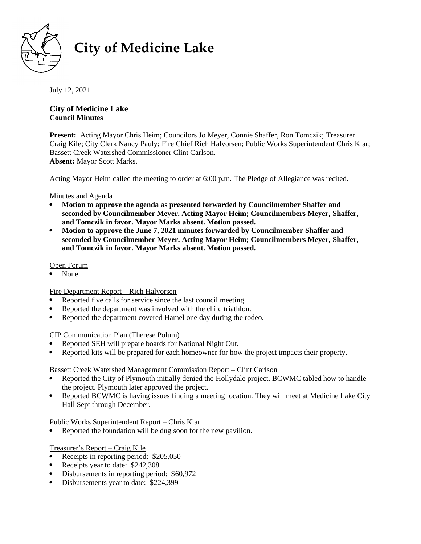

# **City of Medicine Lake**

July 12, 2021

# **City of Medicine Lake Council Minutes**

**Present:** Acting Mayor Chris Heim; Councilors Jo Meyer, Connie Shaffer, Ron Tomczik; Treasurer Craig Kile; City Clerk Nancy Pauly; Fire Chief Rich Halvorsen; Public Works Superintendent Chris Klar; Bassett Creek Watershed Commissioner Clint Carlson. **Absent:** Mayor Scott Marks.

Acting Mayor Heim called the meeting to order at 6:00 p.m. The Pledge of Allegiance was recited.

## Minutes and Agenda

- **Motion to approve the agenda as presented forwarded by Councilmember Shaffer and seconded by Councilmember Meyer. Acting Mayor Heim; Councilmembers Meyer, Shaffer, and Tomczik in favor. Mayor Marks absent. Motion passed.**
- **Motion to approve the June 7, 2021 minutes forwarded by Councilmember Shaffer and seconded by Councilmember Meyer. Acting Mayor Heim; Councilmembers Meyer, Shaffer, and Tomczik in favor. Mayor Marks absent. Motion passed.**<br>
2060 Southern Shore Shore Shore Shore Shore in the Shore of The Shore of The Shore of The Shore in the Shore o

## Open Forum

None

#### Fire Department Report – Rich Halvorsen

- Reported five calls for service since the last council meeting.
- Reported the department was involved with the child triathlon.
- Reported the department covered Hamel one day during the rodeo.

#### CIP Communication Plan (Therese Polum)

- Reported SEH will prepare boards for National Night Out.
- Reported kits will be prepared for each homeowner for how the project impacts their property.

## Bassett Creek Watershed Management Commission Report – Clint Carlson

- Reported the City of Plymouth initially denied the Hollydale project. BCWMC tabled how to handle the project. Plymouth later approved the project.
- Reported BCWMC is having issues finding a meeting location. They will meet at Medicine Lake City Hall Sept through December.

#### Public Works Superintendent Report – Chris Klar

Reported the foundation will be dug soon for the new pavilion.

## Treasurer's Report – Craig Kile

- Receipts in reporting period: \$205,050
- Receipts year to date: \$242,308
- Disbursements in reporting period: \$60,972
- Disbursements year to date: \$224,399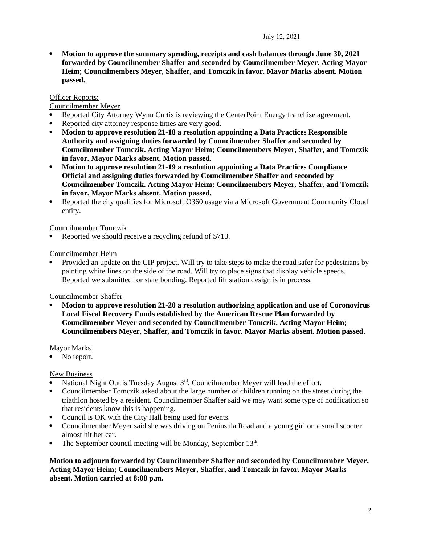**Motion to approve the summary spending, receipts and cash balances through June 30, 2021 forwarded by Councilmember Shaffer and seconded by Councilmember Meyer. Acting Mayor Heim; Councilmembers Meyer, Shaffer, and Tomczik in favor. Mayor Marks absent. Motion passed.**

#### Officer Reports:

## Councilmember Meyer

- Reported City Attorney Wynn Curtis is reviewing the CenterPoint Energy franchise agreement.
- Reported city attorney response times are very good.<br>• Motion to approve resolution 21-18 a resolution and
- **Motion to approve resolution 21-18 a resolution appointing a Data Practices Responsible Authority and assigning duties forwarded by Councilmember Shaffer and seconded by Councilmember Tomczik. Acting Mayor Heim; Councilmembers Meyer, Shaffer, and Tomczik in favor. Mayor Marks absent. Motion passed.**
- **Motion to approve resolution 21-19 a resolution appointing a Data Practices Compliance Official and assigning duties forwarded by Councilmember Shaffer and seconded by Councilmember Tomczik. Acting Mayor Heim; Councilmembers Meyer, Shaffer, and Tomczik in favor. Mayor Marks absent. Motion passed.**
- Reported the city qualifies for Microsoft O360 usage via a Microsoft Government Community Cloud entity.

## Councilmember Tomczik

Reported we should receive a recycling refund of \$713.

#### Councilmember Heim

 Provided an update on the CIP project. Will try to take steps to make the road safer for pedestrians by painting white lines on the side of the road. Will try to place signs that display vehicle speeds. Reported we submitted for state bonding. Reported lift station design is in process.

## Councilmember Shaffer

 **Motion to approve resolution 21-20 a resolution authorizing application and use of Coronovirus Local Fiscal Recovery Funds established by the American Rescue Plan forwarded by Councilmember Meyer and seconded by Councilmember Tomczik. Acting Mayor Heim; Councilmembers Meyer, Shaffer, and Tomczik in favor. Mayor Marks absent. Motion passed.**

#### Mayor Marks

• No report.

## **New Business**

- National Night Out is Tuesday August  $3<sup>rd</sup>$ . Councilmember Meyer will lead the effort.
- Councilmember Tomczik asked about the large number of children running on the street during the triathlon hosted by a resident. Councilmember Shaffer said we may want some type of notification so that residents know this is happening.
- Council is OK with the City Hall being used for events.
- Councilmember Meyer said she was driving on Peninsula Road and a young girl on a small scooter almost hit her car.
- The September council meeting will be Monday, September  $13<sup>th</sup>$ .

**Motion to adjourn forwarded by Councilmember Shaffer and seconded by Councilmember Meyer. Acting Mayor Heim; Councilmembers Meyer, Shaffer, and Tomczik in favor. Mayor Marks absent. Motion carried at 8:08 p.m.**